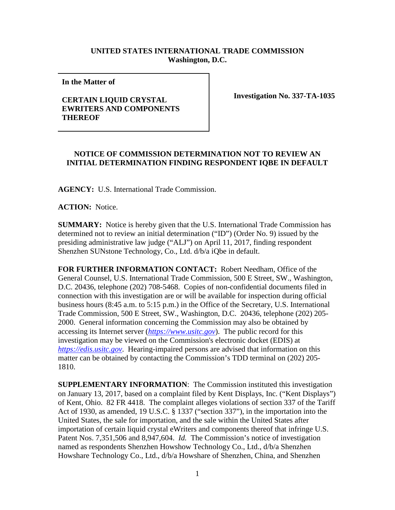## **UNITED STATES INTERNATIONAL TRADE COMMISSION Washington, D.C.**

**In the Matter of** 

## **CERTAIN LIQUID CRYSTAL EWRITERS AND COMPONENTS THEREOF**

**Investigation No. 337-TA-1035**

## **NOTICE OF COMMISSION DETERMINATION NOT TO REVIEW AN INITIAL DETERMINATION FINDING RESPONDENT IQBE IN DEFAULT**

**AGENCY:** U.S. International Trade Commission.

**ACTION:** Notice.

**SUMMARY:** Notice is hereby given that the U.S. International Trade Commission has determined not to review an initial determination ("ID") (Order No. 9) issued by the presiding administrative law judge ("ALJ") on April 11, 2017, finding respondent Shenzhen SUNstone Technology, Co., Ltd. d/b/a iQbe in default.

**FOR FURTHER INFORMATION CONTACT:** Robert Needham, Office of the General Counsel, U.S. International Trade Commission, 500 E Street, SW., Washington, D.C. 20436, telephone (202) 708-5468. Copies of non-confidential documents filed in connection with this investigation are or will be available for inspection during official business hours (8:45 a.m. to 5:15 p.m.) in the Office of the Secretary, U.S. International Trade Commission, 500 E Street, SW., Washington, D.C. 20436, telephone (202) 205- 2000. General information concerning the Commission may also be obtained by accessing its Internet server (*[https://www.usitc.gov](https://www.usitc.gov/)*). The public record for this investigation may be viewed on the Commission's electronic docket (EDIS) at *[https://edis.usitc.gov](https://edis.usitc.gov/)*. Hearing-impaired persons are advised that information on this matter can be obtained by contacting the Commission's TDD terminal on (202) 205- 1810.

**SUPPLEMENTARY INFORMATION**: The Commission instituted this investigation on January 13, 2017, based on a complaint filed by Kent Displays, Inc. ("Kent Displays") of Kent, Ohio. 82 FR 4418. The complaint alleges violations of section 337 of the Tariff Act of 1930, as amended, 19 U.S.C. § 1337 ("section 337"), in the importation into the United States, the sale for importation, and the sale within the United States after importation of certain liquid crystal eWriters and components thereof that infringe U.S. Patent Nos. 7,351,506 and 8,947,604. *Id.* The Commission's notice of investigation named as respondents Shenzhen Howshow Technology Co., Ltd., d/b/a Shenzhen Howshare Technology Co., Ltd., d/b/a Howshare of Shenzhen, China, and Shenzhen